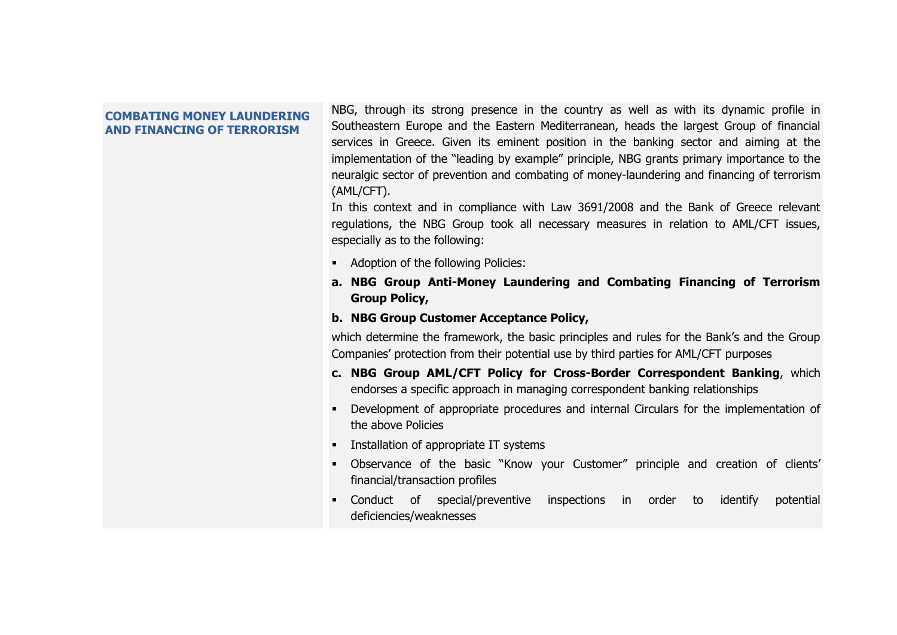## **COMBATING MONEY LAUNDERING AND FINANCING OF TERRORISM**

NBG, through its strong presence in the country as well as with its dynamic profile in Southeastern Europe and the Eastern Mediterranean, heads the largest Group of financial services in Greece. Given its eminent position in the banking sector and aiming at the implementation of the "leading by example" principle, NBG grants primary importance to the neuralgic sector of prevention and combating of money-laundering and financing of terrorism (AML/CFT).

In this context and in compliance with Law 3691/2008 and the Bank of Greece relevant regulations, the NBG Group took all necessary measures in relation to AML/CFT issues, especially as to the following:

- **Adoption of the following Policies:**
- **a. NBG Group Anti-Money Laundering and Combating Financing of Terrorism Group Policy,**
- **b. NBG Group Customer Acceptance Policy,**

which determine the framework, the basic principles and rules for the Bank's and the Group Companies' protection from their potential use by third parties for AML/CFT purposes

- **c. NBG Group AML/CFT Policy for Cross-Border Correspondent Banking**, which endorses a specific approach in managing correspondent banking relationships
- Development of appropriate procedures and internal Circulars for the implementation of the above Policies
- **Installation of appropriate IT systems**
- Observance of the basic "Know your Customer" principle and creation of clients' financial/transaction profiles
- Conduct of special/preventive inspections in order to identify potential deficiencies/weaknesses